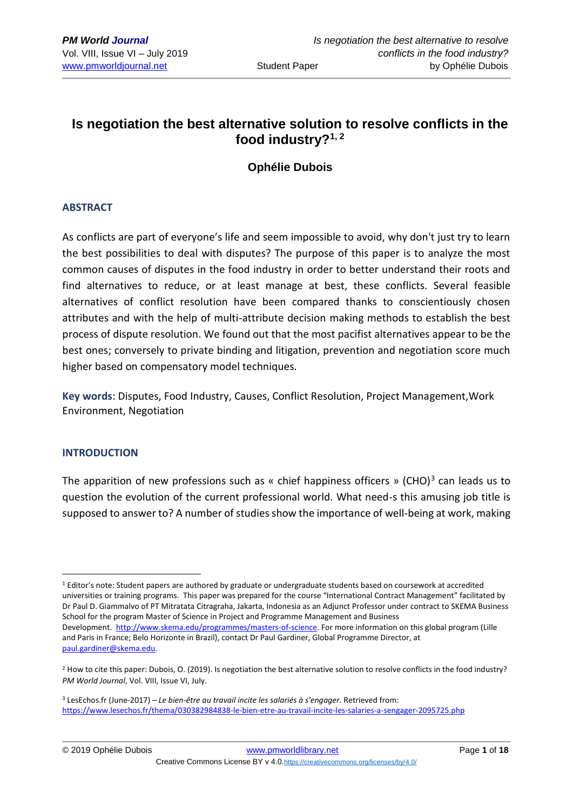# **Is negotiation the best alternative solution to resolve conflicts in the food industry?1, 2**

## **Ophélie Dubois**

### **ABSTRACT**

As conflicts are part of everyone's life and seem impossible to avoid, why don't just try to learn the best possibilities to deal with disputes? The purpose of this paper is to analyze the most common causes of disputes in the food industry in order to better understand their roots and find alternatives to reduce, or at least manage at best, these conflicts. Several feasible alternatives of conflict resolution have been compared thanks to conscientiously chosen attributes and with the help of multi-attribute decision making methods to establish the best process of dispute resolution. We found out that the most pacifist alternatives appear to be the best ones; conversely to private binding and litigation, prevention and negotiation score much higher based on compensatory model techniques.

**Key words**: Disputes, Food Industry, Causes, Conflict Resolution, Project Management,Work Environment, Negotiation

### **INTRODUCTION**

1

The apparition of new professions such as « chief happiness officers » (CHO)<sup>3</sup> can leads us to question the evolution of the current professional world. What need-s this amusing job title is supposed to answer to? A number of studies show the importance of well-being at work, making

<sup>1</sup> Editor's note: Student papers are authored by graduate or undergraduate students based on coursework at accredited universities or training programs. This paper was prepared for the course "International Contract Management" facilitated by Dr Paul D. Giammalvo of PT Mitratata Citragraha, Jakarta, Indonesia as an Adjunct Professor under contract to SKEMA Business School for the program Master of Science in Project and Programme Management and Business Development. [http://www.skema.edu/programmes/masters-of-science.](http://www.skema.edu/programmes/masters-of-science) For more information on this global program (Lille and Paris in France; Belo Horizonte in Brazil), contact Dr Paul Gardiner, Global Programme Director, at [paul.gardiner@skema.edu.](mailto:paul.gardiner@skema.edu)

<sup>&</sup>lt;sup>2</sup> How to cite this paper: Dubois, O. (2019). Is negotiation the best alternative solution to resolve conflicts in the food industry? *PM World Journal*, Vol. VIII, Issue VI, July.

<sup>3</sup> LesEchos.fr (June-2017) – *Le bien-être au travail incite les salariés à s'engager.* Retrieved from: <https://www.lesechos.fr/thema/030382984838-le-bien-etre-au-travail-incite-les-salaries-a-sengager-2095725.php>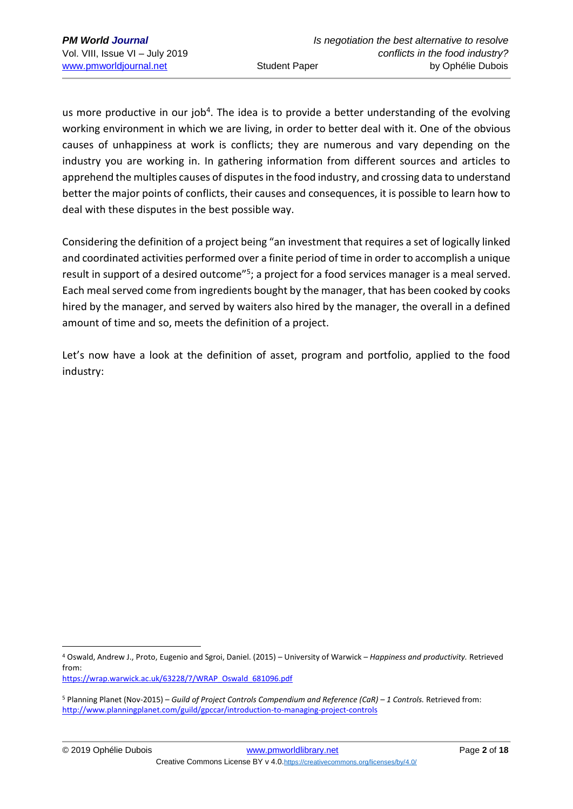us more productive in our job<sup>4</sup>. The idea is to provide a better understanding of the evolving working environment in which we are living, in order to better deal with it. One of the obvious causes of unhappiness at work is conflicts; they are numerous and vary depending on the industry you are working in. In gathering information from different sources and articles to apprehend the multiples causes of disputes in the food industry, and crossing data to understand better the major points of conflicts, their causes and consequences, it is possible to learn how to deal with these disputes in the best possible way.

Considering the definition of a project being "an investment that requires a set of logically linked and coordinated activities performed over a finite period of time in order to accomplish a unique result in support of a desired outcome"<sup>5</sup>; a project for a food services manager is a meal served. Each meal served come from ingredients bought by the manager, that has been cooked by cooks hired by the manager, and served by waiters also hired by the manager, the overall in a defined amount of time and so, meets the definition of a project.

Let's now have a look at the definition of asset, program and portfolio, applied to the food industry:

[https://wrap.warwick.ac.uk/63228/7/WRAP\\_Oswald\\_681096.pdf](https://wrap.warwick.ac.uk/63228/7/WRAP_Oswald_681096.pdf)

<sup>4</sup> Oswald, Andrew J., Proto, Eugenio and Sgroi, Daniel. (2015) – University of Warwick – *Happiness and productivity.* Retrieved from:

<sup>5</sup> Planning Planet (Nov-2015) – *Guild of Project Controls Compendium and Reference (CaR)* – 1 Controls. Retrieved from: <http://www.planningplanet.com/guild/gpccar/introduction-to-managing-project-controls>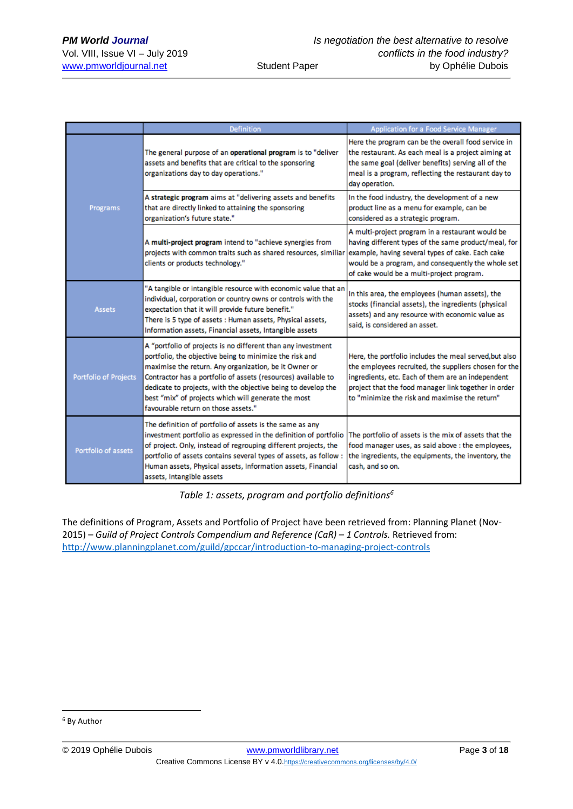|                              | Definition                                                                                                                                                                                                                                                                                                                                                                                                       | Application for a Food Service Manager                                                                                                                                                                                                                                         |
|------------------------------|------------------------------------------------------------------------------------------------------------------------------------------------------------------------------------------------------------------------------------------------------------------------------------------------------------------------------------------------------------------------------------------------------------------|--------------------------------------------------------------------------------------------------------------------------------------------------------------------------------------------------------------------------------------------------------------------------------|
| Programs                     | The general purpose of an operational program is to "deliver<br>assets and benefits that are critical to the sponsoring<br>organizations day to day operations."                                                                                                                                                                                                                                                 | Here the program can be the overall food service in<br>the restaurant. As each meal is a project aiming at<br>the same goal (deliver benefits) serving all of the<br>meal is a program, reflecting the restaurant day to<br>day operation.                                     |
|                              | A strategic program aims at "delivering assets and benefits<br>that are directly linked to attaining the sponsoring<br>organization's future state."                                                                                                                                                                                                                                                             | In the food industry, the development of a new<br>product line as a menu for example, can be<br>considered as a strategic program.                                                                                                                                             |
|                              | A multi-project program intend to "achieve synergies from<br>projects with common traits such as shared resources, similiar<br>clients or products technology."                                                                                                                                                                                                                                                  | A multi-project program in a restaurant would be<br>having different types of the same product/meal, for<br>example, having several types of cake. Each cake<br>would be a program, and consequently the whole set<br>of cake would be a multi-project program.                |
| <b>Assets</b>                | "A tangible or intangible resource with economic value that an<br>individual, corporation or country owns or controls with the<br>expectation that it will provide future benefit."<br>There is 5 type of assets : Human assets, Physical assets,<br>Information assets, Financial assets, Intangible assets                                                                                                     | In this area, the employees (human assets), the<br>stocks (financial assets), the ingredients (physical<br>assets) and any resource with economic value as<br>said, is considered an asset.                                                                                    |
| <b>Portfolio of Projects</b> | A "portfolio of projects is no different than any investment<br>portfolio, the objective being to minimize the risk and<br>maximise the return. Any organization, be it Owner or<br>Contractor has a portfolio of assets (resources) available to<br>dedicate to projects, with the objective being to develop the<br>best "mix" of projects which will generate the most<br>favourable return on those assets." | Here, the portfolio includes the meal served, but also<br>the employees recruited, the suppliers chosen for the<br>ingredients, etc. Each of them are an independent<br>project that the food manager link together in order<br>to "minimize the risk and maximise the return" |
| Portfolio of assets          | The definition of portfolio of assets is the same as any<br>investment portfolio as expressed in the definition of portfolio<br>of project. Only, instead of regrouping different projects, the<br>portfolio of assets contains several types of assets, as follow :<br>Human assets, Physical assets, Information assets, Financial<br>assets, Intangible assets                                                | The portfolio of assets is the mix of assets that the<br>food manager uses, as said above : the employees,<br>the ingredients, the equipments, the inventory, the<br>cash, and so on.                                                                                          |

*Table 1: assets, program and portfolio definitions<sup>6</sup>*

The definitions of Program, Assets and Portfolio of Project have been retrieved from: Planning Planet (Nov-2015) – Guild of Project Controls Compendium and Reference (CaR) – 1 Controls. Retrieved from: <http://www.planningplanet.com/guild/gpccar/introduction-to-managing-project-controls>

<u>.</u>

<sup>6</sup> By Author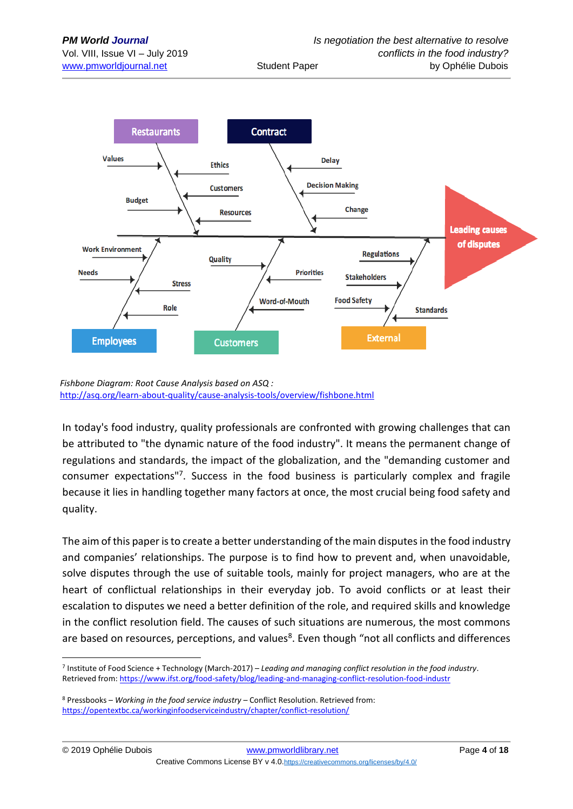

*Fishbone Diagram: Root Cause Analysis based on ASQ :* <http://asq.org/learn-about-quality/cause-analysis-tools/overview/fishbone.html>

In today's food industry, quality professionals are confronted with growing challenges that can be attributed to "the dynamic nature of the food industry". It means the permanent change of regulations and standards, the impact of the globalization, and the "demanding customer and consumer expectations"<sup>7</sup>. Success in the food business is particularly complex and fragile because it lies in handling together many factors at once, the most crucial being food safety and quality.

The aim of this paper is to create a better understanding of the main disputes in the food industry and companies' relationships. The purpose is to find how to prevent and, when unavoidable, solve disputes through the use of suitable tools, mainly for project managers, who are at the heart of conflictual relationships in their everyday job. To avoid conflicts or at least their escalation to disputes we need a better definition of the role, and required skills and knowledge in the conflict resolution field. The causes of such situations are numerous, the most commons are based on resources, perceptions, and values<sup>8</sup>. Even though "not all conflicts and differences

<sup>7</sup> Institute of Food Science + Technology (March-2017) – *Leading and managing conflict resolution in the food industry*. Retrieved from[: https://www.ifst.org/food-safety/blog/leading-and-managing-conflict-resolution-food-industr](https://www.ifst.org/food-safety/blog/leading-and-managing-conflict-resolution-food-industr)

<sup>8</sup> Pressbooks – *Working in the food service industry* – Conflict Resolution. Retrieved from: <https://opentextbc.ca/workinginfoodserviceindustry/chapter/conflict-resolution/>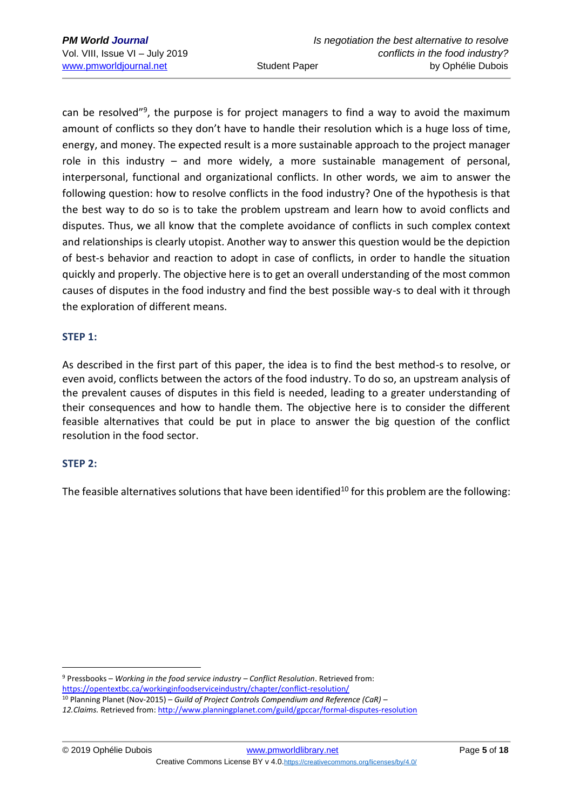can be resolved"<sup>9</sup>, the purpose is for project managers to find a way to avoid the maximum amount of conflicts so they don't have to handle their resolution which is a huge loss of time, energy, and money. The expected result is a more sustainable approach to the project manager role in this industry – and more widely, a more sustainable management of personal, interpersonal, functional and organizational conflicts. In other words, we aim to answer the following question: how to resolve conflicts in the food industry? One of the hypothesis is that the best way to do so is to take the problem upstream and learn how to avoid conflicts and disputes. Thus, we all know that the complete avoidance of conflicts in such complex context and relationships is clearly utopist. Another way to answer this question would be the depiction of best-s behavior and reaction to adopt in case of conflicts, in order to handle the situation quickly and properly. The objective here is to get an overall understanding of the most common causes of disputes in the food industry and find the best possible way-s to deal with it through the exploration of different means.

### **STEP 1:**

As described in the first part of this paper, the idea is to find the best method-s to resolve, or even avoid, conflicts between the actors of the food industry. To do so, an upstream analysis of the prevalent causes of disputes in this field is needed, leading to a greater understanding of their consequences and how to handle them. The objective here is to consider the different feasible alternatives that could be put in place to answer the big question of the conflict resolution in the food sector.

### **STEP 2:**

1

The feasible alternatives solutions that have been identified<sup>10</sup> for this problem are the following:

<sup>9</sup> Pressbooks – *Working in the food service industry – Conflict Resolution*. Retrieved from:

<https://opentextbc.ca/workinginfoodserviceindustry/chapter/conflict-resolution/>

<sup>10</sup> Planning Planet (Nov-2015) – *Guild of Project Controls Compendium and Reference (CaR) –* 

*12.Claims.* Retrieved from[: http://www.planningplanet.com/guild/gpccar/formal-disputes-resolution](http://www.planningplanet.com/guild/gpccar/formal-disputes-resolution)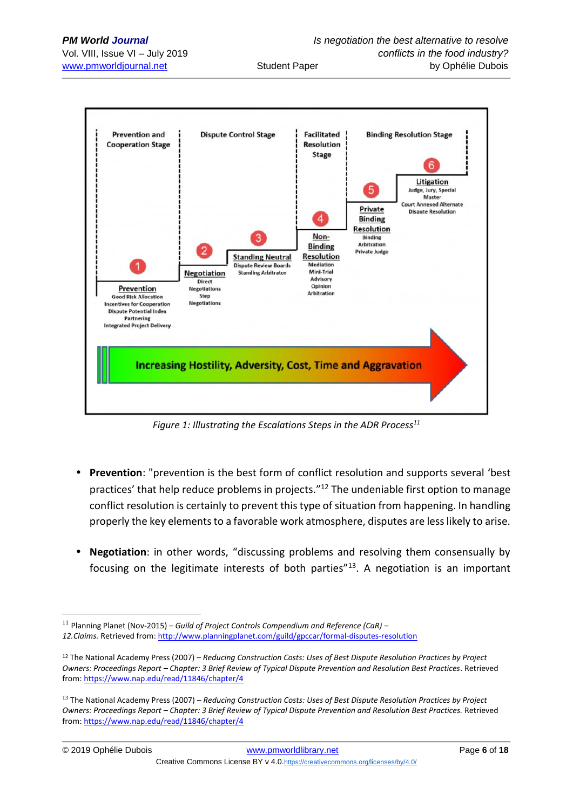

*Figure 1: Illustrating the Escalations Steps in the ADR Process<sup>11</sup>*

- **Prevention**: "prevention is the best form of conflict resolution and supports several 'best practices' that help reduce problems in projects."<sup>12</sup> The undeniable first option to manage conflict resolution is certainly to prevent this type of situation from happening. In handling properly the key elements to a favorable work atmosphere, disputes are less likely to arise.
- **Negotiation**: in other words, "discussing problems and resolving them consensually by focusing on the legitimate interests of both parties $"13$ . A negotiation is an important

<sup>11</sup> Planning Planet (Nov-2015) – *Guild of Project Controls Compendium and Reference (CaR) – 12.Claims.* Retrieved from[: http://www.planningplanet.com/guild/gpccar/formal-disputes-resolution](http://www.planningplanet.com/guild/gpccar/formal-disputes-resolution)

<sup>12</sup> The National Academy Press (2007) – *Reducing Construction Costs: Uses of Best Dispute Resolution Practices by Project Owners: Proceedings Report – Chapter: 3 Brief Review of Typical Dispute Prevention and Resolution Best Practices*. Retrieved from[: https://www.nap.edu/read/11846/chapter/4](https://www.nap.edu/read/11846/chapter/4)

<sup>13</sup> The National Academy Press (2007) – *Reducing Construction Costs: Uses of Best Dispute Resolution Practices by Project Owners: Proceedings Report – Chapter: 3 Brief Review of Typical Dispute Prevention and Resolution Best Practices.* Retrieved from[: https://www.nap.edu/read/11846/chapter/4](https://www.nap.edu/read/11846/chapter/4)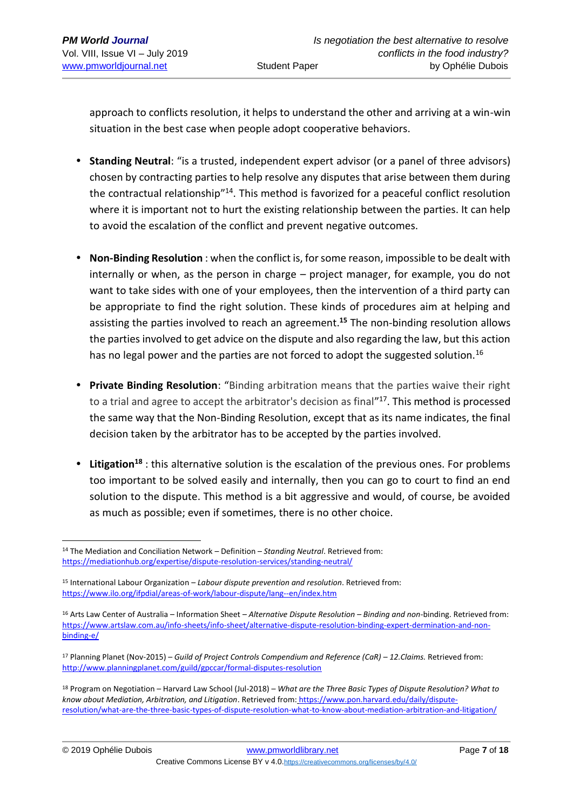approach to conflicts resolution, it helps to understand the other and arriving at a win-win situation in the best case when people adopt cooperative behaviors.

- **Standing Neutral**: "is a trusted, independent expert advisor (or a panel of three advisors) chosen by contracting parties to help resolve any disputes that arise between them during the contractual relationship<sup>"14</sup>. This method is favorized for a peaceful conflict resolution where it is important not to hurt the existing relationship between the parties. It can help to avoid the escalation of the conflict and prevent negative outcomes.
- **Non-Binding Resolution** : when the conflict is, for some reason, impossible to be dealt with internally or when, as the person in charge – project manager, for example, you do not want to take sides with one of your employees, then the intervention of a third party can be appropriate to find the right solution. These kinds of procedures aim at helping and assisting the parties involved to reach an agreement.**<sup>15</sup>** The non-binding resolution allows the parties involved to get advice on the dispute and also regarding the law, but this action has no legal power and the parties are not forced to adopt the suggested solution.<sup>16</sup>
- **Private Binding Resolution**: "Binding arbitration means that the parties waive their right to a trial and agree to accept the arbitrator's decision as final"<sup>17</sup>. This method is processed the same way that the Non-Binding Resolution, except that as its name indicates, the final decision taken by the arbitrator has to be accepted by the parties involved.
- **Litigation<sup>18</sup>** : this alternative solution is the escalation of the previous ones. For problems too important to be solved easily and internally, then you can go to court to find an end solution to the dispute. This method is a bit aggressive and would, of course, be avoided as much as possible; even if sometimes, there is no other choice.

<sup>1</sup> <sup>14</sup> The Mediation and Conciliation Network – Definition – *Standing Neutral*. Retrieved from: <https://mediationhub.org/expertise/dispute-resolution-services/standing-neutral/>

<sup>15</sup> International Labour Organization – *Labour dispute prevention and resolution*. Retrieved from: <https://www.ilo.org/ifpdial/areas-of-work/labour-dispute/lang--en/index.htm>

<sup>16</sup> Arts Law Center of Australia – Information Sheet – *Alternative Dispute Resolution – Binding and non-*binding. Retrieved from: [https://www.artslaw.com.au/info-sheets/info-sheet/alternative-dispute-resolution-binding-expert-dermination-and-non](https://www.artslaw.com.au/info-sheets/info-sheet/alternative-dispute-resolution-binding-expert-dermination-and-non-binding-e/)[binding-e/](https://www.artslaw.com.au/info-sheets/info-sheet/alternative-dispute-resolution-binding-expert-dermination-and-non-binding-e/)

<sup>17</sup> Planning Planet (Nov-2015) – *Guild of Project Controls Compendium and Reference (CaR) – 12.Claims.* Retrieved from: <http://www.planningplanet.com/guild/gpccar/formal-disputes-resolution>

<sup>18</sup> Program on Negotiation – Harvard Law School (Jul-2018) – *What are the Three Basic Types of Dispute Resolution? What to know about Mediation, Arbitration, and Litigation*. Retrieved from: [https://www.pon.harvard.edu/daily/dispute](https://www.pon.harvard.edu/daily/dispute-resolution/what-are-the-three-basic-types-of-dispute-resolution-what-to-know-about-mediation-arbitration-and-litigation/)[resolution/what-are-the-three-basic-types-of-dispute-resolution-what-to-know-about-mediation-arbitration-and-litigation/](https://www.pon.harvard.edu/daily/dispute-resolution/what-are-the-three-basic-types-of-dispute-resolution-what-to-know-about-mediation-arbitration-and-litigation/)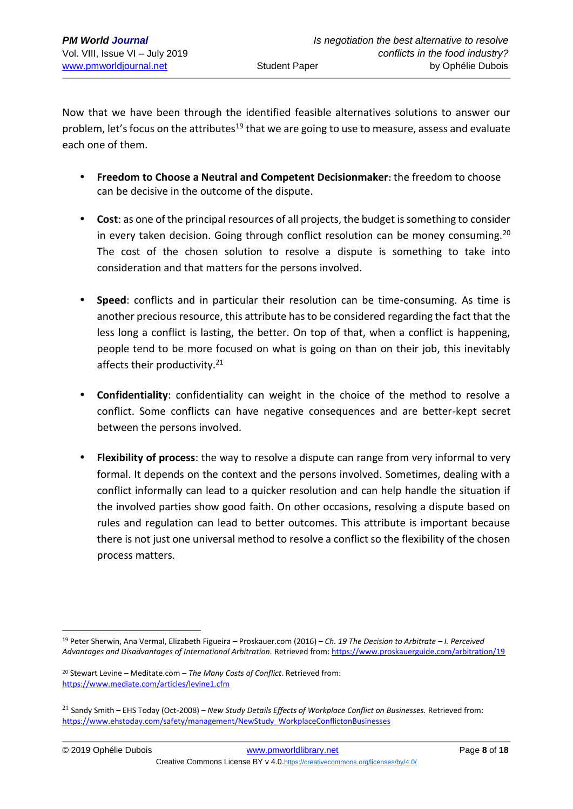Now that we have been through the identified feasible alternatives solutions to answer our problem, let's focus on the attributes<sup>19</sup> that we are going to use to measure, assess and evaluate each one of them.

- **Freedom to Choose a Neutral and Competent Decisionmaker:** the freedom to choose can be decisive in the outcome of the dispute.
- **Cost**: as one of the principal resources of all projects, the budget is something to consider in every taken decision. Going through conflict resolution can be money consuming.<sup>20</sup> The cost of the chosen solution to resolve a dispute is something to take into consideration and that matters for the persons involved.
- **Speed**: conflicts and in particular their resolution can be time-consuming. As time is another precious resource, this attribute has to be considered regarding the fact that the less long a conflict is lasting, the better. On top of that, when a conflict is happening, people tend to be more focused on what is going on than on their job, this inevitably affects their productivity.<sup>21</sup>
- **Confidentiality**: confidentiality can weight in the choice of the method to resolve a conflict. Some conflicts can have negative consequences and are better-kept secret between the persons involved.
- **Flexibility of process**: the way to resolve a dispute can range from very informal to very formal. It depends on the context and the persons involved. Sometimes, dealing with a conflict informally can lead to a quicker resolution and can help handle the situation if the involved parties show good faith. On other occasions, resolving a dispute based on rules and regulation can lead to better outcomes. This attribute is important because there is not just one universal method to resolve a conflict so the flexibility of the chosen process matters.

<sup>19</sup> Peter Sherwin, Ana Vermal, Elizabeth Figueira – Proskauer.com (2016) – *Ch. 19 The Decision to Arbitrate – I. Perceived Advantages and Disadvantages of International Arbitration.* Retrieved from[: https://www.proskauerguide.com/arbitration/19](https://www.proskauerguide.com/arbitration/19)

<sup>20</sup> Stewart Levine – Meditate.com – *The Many Costs of Conflict*. Retrieved from: <https://www.mediate.com/articles/levine1.cfm>

<sup>21</sup> Sandy Smith – EHS Today (Oct-2008) – *New Study Details Effects of Workplace Conflict on Businesses.* Retrieved from: [https://www.ehstoday.com/safety/management/NewStudy\\_WorkplaceConflictonBusinesses](https://www.ehstoday.com/safety/management/NewStudy_WorkplaceConflictonBusinesses)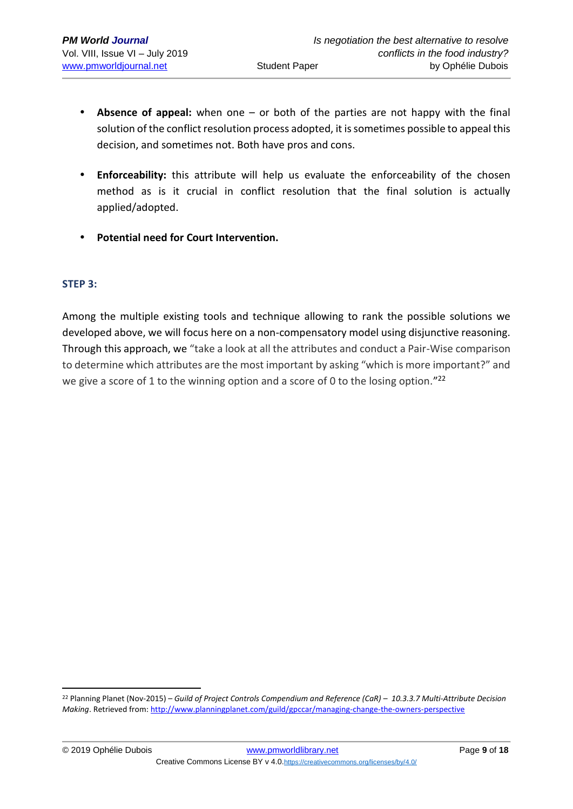- **Absence of appeal:** when one or both of the parties are not happy with the final solution of the conflict resolution process adopted, it is sometimes possible to appeal this decision, and sometimes not. Both have pros and cons.
- **Enforceability:** this attribute will help us evaluate the enforceability of the chosen method as is it crucial in conflict resolution that the final solution is actually applied/adopted.
- **Potential need for Court Intervention.**

## **STEP 3:**

1

Among the multiple existing tools and technique allowing to rank the possible solutions we developed above, we will focus here on a non-compensatory model using disjunctive reasoning. Through this approach, we "take a look at all the attributes and conduct a Pair-Wise comparison to determine which attributes are the most important by asking "which is more important?" and we give a score of 1 to the winning option and a score of 0 to the losing option."<sup>22</sup>

<sup>22</sup> Planning Planet (Nov-2015) – *Guild of Project Controls Compendium and Reference (CaR) – 10.3.3.7 Multi-Attribute Decision Making*. Retrieved from[: http://www.planningplanet.com/guild/gpccar/managing-change-the-owners-perspective](http://www.planningplanet.com/guild/gpccar/managing-change-the-owners-perspective)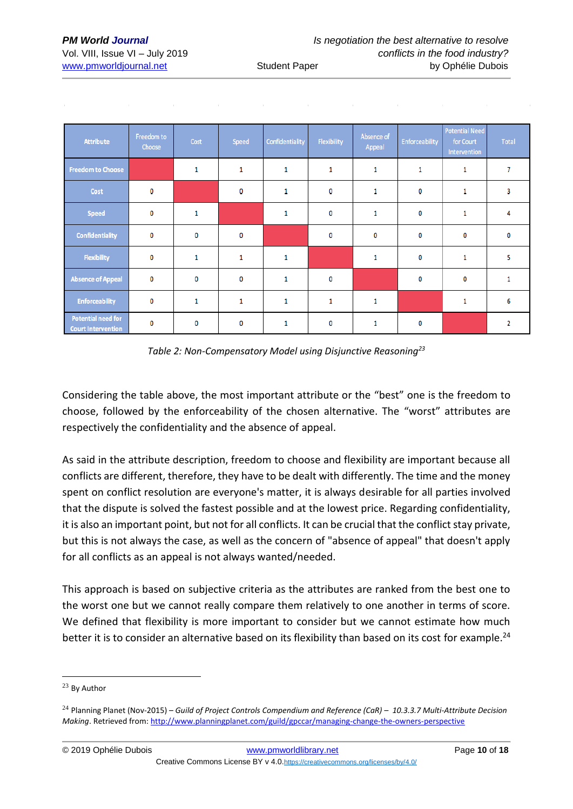| <b>Attribute</b>                                       | Freedom to<br>Choose | Cost         | Speed        | Confidentiality | Flexibility | Absence of<br>Appeal | Enforceability | <b>Potential Need</b><br>for Court<br>Intervention | Total |
|--------------------------------------------------------|----------------------|--------------|--------------|-----------------|-------------|----------------------|----------------|----------------------------------------------------|-------|
| <b>Freedom to Choose</b>                               |                      | 1            | 1            | 1               | 1           | 1                    | 1              | 1                                                  | 7     |
| Cost                                                   | 0                    |              | 0            | 1               | 0           | 1                    | 0              | 1                                                  | 3     |
| Speed                                                  | 0                    | 1            |              | 1               | 0           | 1                    | 0              | 1                                                  | 4     |
| <b>Confidentiality</b>                                 | 0                    | 0            | 0            |                 | 0           | 0                    | 0              | 0                                                  | 0     |
| <b>Flexibility</b>                                     | 0                    | $\mathbf{1}$ | $\mathbf{1}$ | 1               |             | 1                    | 0              | 1                                                  | 5     |
| <b>Absence of Appeal</b>                               | 0                    | 0            | 0            | $\mathbf{1}$    | 0           |                      | 0              | 0                                                  | 1     |
| <b>Enforceability</b>                                  | 0                    | 1            | $\mathbf{1}$ | 1               | 1           | 1                    |                | 1                                                  | 6     |
| <b>Potential need for</b><br><b>Court Intervention</b> | 0                    | 0            | 0            | 1               | 0           |                      | 0              |                                                    | 2     |

*Table 2: Non-Compensatory Model using Disjunctive Reasoning<sup>23</sup>*

Considering the table above, the most important attribute or the "best" one is the freedom to choose, followed by the enforceability of the chosen alternative. The "worst" attributes are respectively the confidentiality and the absence of appeal.

As said in the attribute description, freedom to choose and flexibility are important because all conflicts are different, therefore, they have to be dealt with differently. The time and the money spent on conflict resolution are everyone's matter, it is always desirable for all parties involved that the dispute is solved the fastest possible and at the lowest price. Regarding confidentiality, it is also an important point, but not for all conflicts. It can be crucial that the conflict stay private, but this is not always the case, as well as the concern of "absence of appeal" that doesn't apply for all conflicts as an appeal is not always wanted/needed.

This approach is based on subjective criteria as the attributes are ranked from the best one to the worst one but we cannot really compare them relatively to one another in terms of score. We defined that flexibility is more important to consider but we cannot estimate how much better it is to consider an alternative based on its flexibility than based on its cost for example.<sup>24</sup>

<sup>&</sup>lt;sup>23</sup> By Author

<sup>&</sup>lt;sup>24</sup> Planning Planet (Nov-2015) – *Guild of Project Controls Compendium and Reference (CaR)* – 10.3.3.7 Multi-Attribute Decision *Making*. Retrieved from[: http://www.planningplanet.com/guild/gpccar/managing-change-the-owners-perspective](http://www.planningplanet.com/guild/gpccar/managing-change-the-owners-perspective)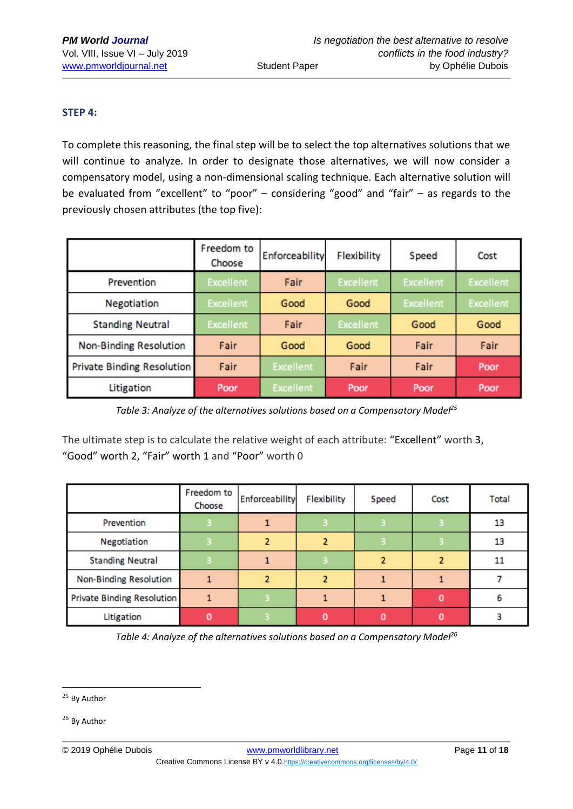### **STEP 4:**

To complete this reasoning, the final step will be to select the top alternatives solutions that we will continue to analyze. In order to designate those alternatives, we will now consider a compensatory model, using a non-dimensional scaling technique. Each alternative solution will be evaluated from "excellent" to "poor" – considering "good" and "fair" – as regards to the previously chosen attributes (the top five):

|                                   | Freedom to<br>Choose | Enforceability   | Flexibility      | Speed            | Cost             |
|-----------------------------------|----------------------|------------------|------------------|------------------|------------------|
| Prevention                        | <b>Excellent</b>     | Fair             | <b>Excellent</b> | <b>Excellent</b> | <b>Excellent</b> |
| Negotiation                       | <b>Excellent</b>     | Good             | Good             | Excellent        | <b>Excellent</b> |
| <b>Standing Neutral</b>           | <b>Excellent</b>     | Fair             | <b>Excellent</b> | Good             | Good             |
| Non-Binding Resolution            | Fair                 | Good             | Good             | Fair             | Fair             |
| <b>Private Binding Resolution</b> | Fair                 | Excellent        | Fair             | Fair             | Poor             |
| Litigation                        | Poor                 | <b>Excellent</b> | Poor             | Poor             | Poor             |

*Table 3: Analyze of the alternatives solutions based on a Compensatory Model<sup>25</sup>*

The ultimate step is to calculate the relative weight of each attribute: "Excellent" worth 3, "Good" worth 2, "Fair" worth 1 and "Poor" worth 0

|                                   | Freedom to<br>Choose | Enforceability | Flexibility | Speed | Cost | Total |
|-----------------------------------|----------------------|----------------|-------------|-------|------|-------|
| Prevention                        |                      |                |             |       |      | 13    |
| Negotiation                       |                      |                |             |       |      | 13    |
| <b>Standing Neutral</b>           |                      |                |             |       |      | 11    |
| <b>Non-Binding Resolution</b>     |                      |                |             |       |      |       |
| <b>Private Binding Resolution</b> |                      |                |             |       | o    |       |
| Litigation                        |                      |                |             |       | Ω    |       |

*Table 4: Analyze of the alternatives solutions based on a Compensatory Model<sup>26</sup>*

<u>.</u>

<sup>25</sup> By Author

<sup>&</sup>lt;sup>26</sup> By Author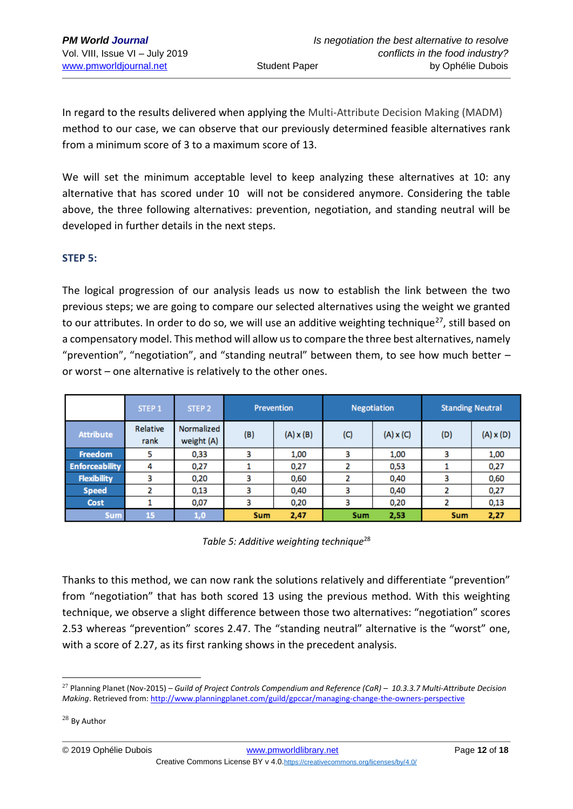In regard to the results delivered when applying the Multi-Attribute Decision Making (MADM) method to our case, we can observe that our previously determined feasible alternatives rank from a minimum score of 3 to a maximum score of 13.

We will set the minimum acceptable level to keep analyzing these alternatives at 10: any alternative that has scored under 10 will not be considered anymore. Considering the table above, the three following alternatives: prevention, negotiation, and standing neutral will be developed in further details in the next steps.

## **STEP 5:**

The logical progression of our analysis leads us now to establish the link between the two previous steps; we are going to compare our selected alternatives using the weight we granted to our attributes. In order to do so, we will use an additive weighting technique<sup>27</sup>, still based on a compensatory model. This method will allow us to compare the three best alternatives, namely "prevention", "negotiation", and "standing neutral" between them, to see how much better – or worst – one alternative is relatively to the other ones.

|                       | STEP <sub>1</sub> | STEP <sub>2</sub>        | Prevention |                  | <b>Negotiation</b> |                  | <b>Standing Neutral</b> |                  |  |
|-----------------------|-------------------|--------------------------|------------|------------------|--------------------|------------------|-------------------------|------------------|--|
| <b>Attribute</b>      | Relative<br>rank  | Normalized<br>weight (A) | (B)        | $(A) \times (B)$ | (C)                | $(A) \times (C)$ | (D)                     | $(A) \times (D)$ |  |
| <b>Freedom</b>        | 5                 | 0,33                     | 3          | 1,00             | з                  | 1,00             | з                       | 1,00             |  |
| <b>Enforceability</b> | 4                 | 0,27                     | 1          | 0,27             | 2                  | 0,53             |                         | 0,27             |  |
| <b>Flexibility</b>    | 3                 | 0,20                     | 3          | 0,60             |                    | 0,40             | з                       | 0,60             |  |
| <b>Speed</b>          |                   | 0,13                     | 3          | 0,40             | з                  | 0,40             | 2                       | 0,27             |  |
| Cost                  |                   | 0,07                     | 3          | 0,20             | з                  | 0,20             | 2                       | 0,13             |  |
| <b>Sum</b>            | 15                | 1,0                      | Sum        | 2,47             | Sum                | 2,53             | <b>Sum</b>              | 2,27             |  |

*Table 5: Additive weighting technique*<sup>28</sup>

Thanks to this method, we can now rank the solutions relatively and differentiate "prevention" from "negotiation" that has both scored 13 using the previous method. With this weighting technique, we observe a slight difference between those two alternatives: "negotiation" scores 2.53 whereas "prevention" scores 2.47. The "standing neutral" alternative is the "worst" one, with a score of 2.27, as its first ranking shows in the precedent analysis.

<sup>27</sup> Planning Planet (Nov-2015) – *Guild of Project Controls Compendium and Reference (CaR) – 10.3.3.7 Multi-Attribute Decision Making*. Retrieved from[: http://www.planningplanet.com/guild/gpccar/managing-change-the-owners-perspective](http://www.planningplanet.com/guild/gpccar/managing-change-the-owners-perspective)

<sup>28</sup> By Author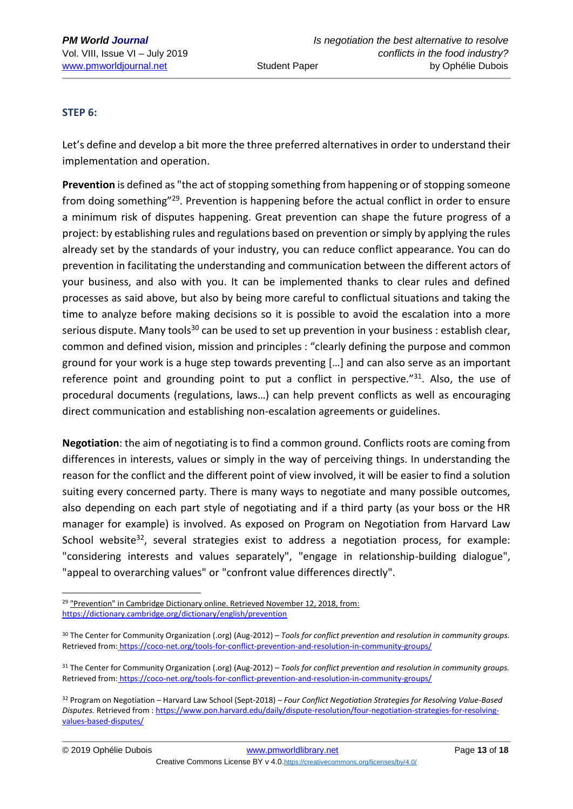### **STEP 6:**

Let's define and develop a bit more the three preferred alternatives in order to understand their implementation and operation.

**Prevention** is defined as "the act of stopping something from happening or of stopping someone from doing something"<sup>29</sup>. Prevention is happening before the actual conflict in order to ensure a minimum risk of disputes happening. Great prevention can shape the future progress of a project: by establishing rules and regulations based on prevention or simply by applying the rules already set by the standards of your industry, you can reduce conflict appearance. You can do prevention in facilitating the understanding and communication between the different actors of your business, and also with you. It can be implemented thanks to clear rules and defined processes as said above, but also by being more careful to conflictual situations and taking the time to analyze before making decisions so it is possible to avoid the escalation into a more serious dispute. Many tools<sup>30</sup> can be used to set up prevention in your business : establish clear, common and defined vision, mission and principles : "clearly defining the purpose and common ground for your work is a huge step towards preventing […] and can also serve as an important reference point and grounding point to put a conflict in perspective." $31$ . Also, the use of procedural documents (regulations, laws…) can help prevent conflicts as well as encouraging direct communication and establishing non-escalation agreements or guidelines.

**Negotiation**: the aim of negotiating is to find a common ground. Conflicts roots are coming from differences in interests, values or simply in the way of perceiving things. In understanding the reason for the conflict and the different point of view involved, it will be easier to find a solution suiting every concerned party. There is many ways to negotiate and many possible outcomes, also depending on each part style of negotiating and if a third party (as your boss or the HR manager for example) is involved. As exposed on Program on Negotiation from Harvard Law School website<sup>32</sup>, several strategies exist to address a negotiation process, for example: "considering interests and values separately", "engage in relationship-building dialogue", "appeal to overarching values" or "confront value differences directly".

<sup>&</sup>lt;sup>29</sup> "Prevention" in Cambridge Dictionary online. Retrieved November 12, 2018, from: https://dictionary.cambridge.org/dictionary/english/prevention

<sup>30</sup> The Center for Community Organization (.org) (Aug-2012) – *Tools for conflict prevention and resolution in community groups.*  Retrieved from: <https://coco-net.org/tools-for-conflict-prevention-and-resolution-in-community-groups/>

<sup>&</sup>lt;sup>31</sup> The Center for Community Organization (.org) (Aug-2012) – *Tools for conflict prevention and resolution in community groups.* Retrieved from: <https://coco-net.org/tools-for-conflict-prevention-and-resolution-in-community-groups/>

<sup>32</sup> Program on Negotiation – Harvard Law School (Sept-2018) – *Four Conflict Negotiation Strategies for Resolving Value-Based Disputes.* Retrieved from : [https://www.pon.harvard.edu/daily/dispute-resolution/four-negotiation-strategies-for-resolving](https://www.pon.harvard.edu/daily/dispute-resolution/four-negotiation-strategies-for-resolving-values-based-disputes/)[values-based-disputes/](https://www.pon.harvard.edu/daily/dispute-resolution/four-negotiation-strategies-for-resolving-values-based-disputes/)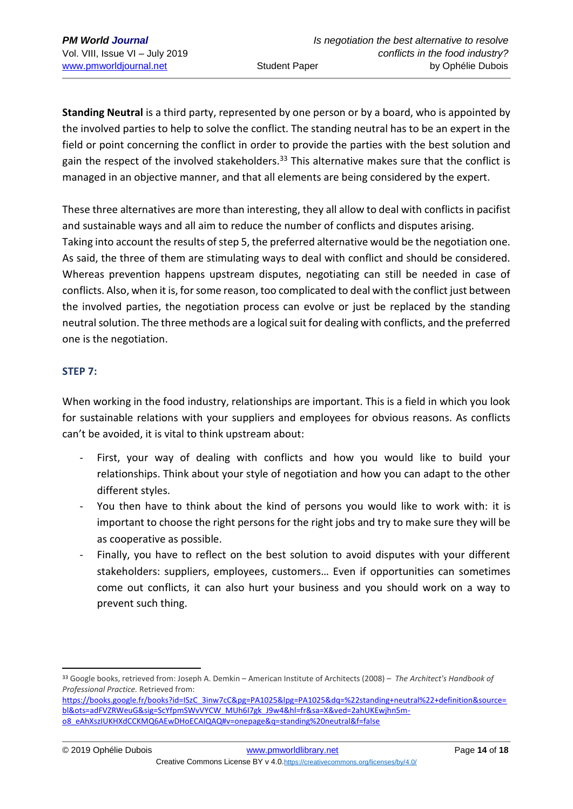**Standing Neutral** is a third party, represented by one person or by a board, who is appointed by the involved parties to help to solve the conflict. The standing neutral has to be an expert in the field or point concerning the conflict in order to provide the parties with the best solution and gain the respect of the involved stakeholders.<sup>33</sup> This alternative makes sure that the conflict is managed in an objective manner, and that all elements are being considered by the expert.

These three alternatives are more than interesting, they all allow to deal with conflicts in pacifist and sustainable ways and all aim to reduce the number of conflicts and disputes arising. Taking into account the results of step 5, the preferred alternative would be the negotiation one. As said, the three of them are stimulating ways to deal with conflict and should be considered. Whereas prevention happens upstream disputes, negotiating can still be needed in case of conflicts. Also, when it is, for some reason, too complicated to deal with the conflict just between the involved parties, the negotiation process can evolve or just be replaced by the standing neutral solution. The three methods are a logical suit for dealing with conflicts, and the preferred one is the negotiation.

## **STEP 7:**

When working in the food industry, relationships are important. This is a field in which you look for sustainable relations with your suppliers and employees for obvious reasons. As conflicts can't be avoided, it is vital to think upstream about:

- First, your way of dealing with conflicts and how you would like to build your relationships. Think about your style of negotiation and how you can adapt to the other different styles.
- You then have to think about the kind of persons you would like to work with: it is important to choose the right persons for the right jobs and try to make sure they will be as cooperative as possible.
- Finally, you have to reflect on the best solution to avoid disputes with your different stakeholders: suppliers, employees, customers… Even if opportunities can sometimes come out conflicts, it can also hurt your business and you should work on a way to prevent such thing.

<u>.</u>

<sup>33</sup> Google books, retrieved from: Joseph A. Demkin – American Institute of Architects (2008) – *The Architect's Handbook of Professional Practice.* Retrieved from:

[https://books.google.fr/books?id=ISzC\\_3inw7cC&pg=PA1025&lpg=PA1025&dq=%22standing+neutral%22+definition&source=](https://books.google.fr/books?id=ISzC_3inw7cC&pg=PA1025&lpg=PA1025&dq=%22standing+neutral%22+definition&source=bl&ots=adFVZRWeuG&sig=ScYfpmSWvVYCW_MUh6I7gk_J9w4&hl=fr&sa=X&ved=2ahUKEwjhn5m-o8_eAhXszIUKHXdCCKMQ6AEwDHoECAIQAQ#v=onepage&q=standing%20neutral&f=false) [bl&ots=adFVZRWeuG&sig=ScYfpmSWvVYCW\\_MUh6I7gk\\_J9w4&hl=fr&sa=X&ved=2ahUKEwjhn5m](https://books.google.fr/books?id=ISzC_3inw7cC&pg=PA1025&lpg=PA1025&dq=%22standing+neutral%22+definition&source=bl&ots=adFVZRWeuG&sig=ScYfpmSWvVYCW_MUh6I7gk_J9w4&hl=fr&sa=X&ved=2ahUKEwjhn5m-o8_eAhXszIUKHXdCCKMQ6AEwDHoECAIQAQ#v=onepage&q=standing%20neutral&f=false)[o8\\_eAhXszIUKHXdCCKMQ6AEwDHoECAIQAQ#v=onepage&q=standing%20neutral&f=false](https://books.google.fr/books?id=ISzC_3inw7cC&pg=PA1025&lpg=PA1025&dq=%22standing+neutral%22+definition&source=bl&ots=adFVZRWeuG&sig=ScYfpmSWvVYCW_MUh6I7gk_J9w4&hl=fr&sa=X&ved=2ahUKEwjhn5m-o8_eAhXszIUKHXdCCKMQ6AEwDHoECAIQAQ#v=onepage&q=standing%20neutral&f=false)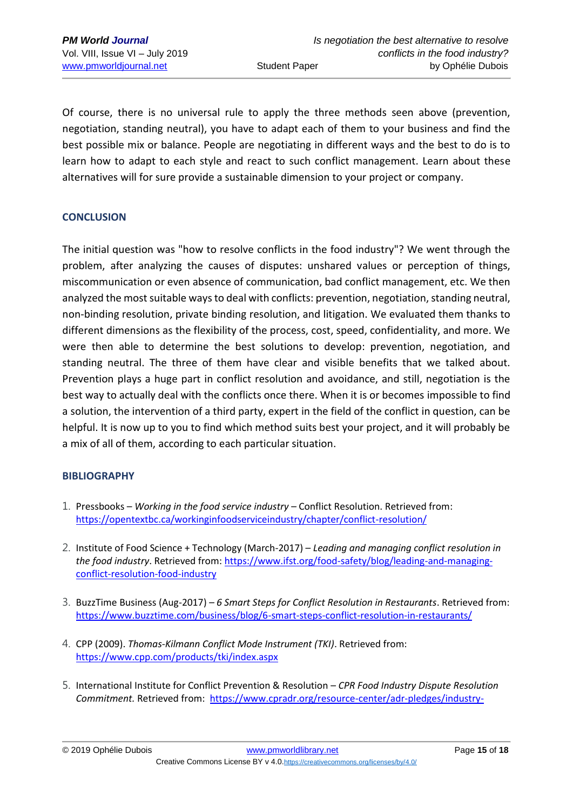Of course, there is no universal rule to apply the three methods seen above (prevention, negotiation, standing neutral), you have to adapt each of them to your business and find the best possible mix or balance. People are negotiating in different ways and the best to do is to learn how to adapt to each style and react to such conflict management. Learn about these alternatives will for sure provide a sustainable dimension to your project or company.

## **CONCLUSION**

The initial question was "how to resolve conflicts in the food industry"? We went through the problem, after analyzing the causes of disputes: unshared values or perception of things, miscommunication or even absence of communication, bad conflict management, etc. We then analyzed the most suitable ways to deal with conflicts: prevention, negotiation, standing neutral, non-binding resolution, private binding resolution, and litigation. We evaluated them thanks to different dimensions as the flexibility of the process, cost, speed, confidentiality, and more. We were then able to determine the best solutions to develop: prevention, negotiation, and standing neutral. The three of them have clear and visible benefits that we talked about. Prevention plays a huge part in conflict resolution and avoidance, and still, negotiation is the best way to actually deal with the conflicts once there. When it is or becomes impossible to find a solution, the intervention of a third party, expert in the field of the conflict in question, can be helpful. It is now up to you to find which method suits best your project, and it will probably be a mix of all of them, according to each particular situation.

### **BIBLIOGRAPHY**

- 1. Pressbooks *Working in the food service industry –* Conflict Resolution. Retrieved from: <https://opentextbc.ca/workinginfoodserviceindustry/chapter/conflict-resolution/>
- 2. Institute of Food Science + Technology (March-2017) *Leading and managing conflict resolution in the food industry*. Retrieved from: [https://www.ifst.org/food-safety/blog/leading-and-managing](https://www.ifst.org/food-safety/blog/leading-and-managing-conflict-resolution-food-industry)[conflict-resolution-food-industry](https://www.ifst.org/food-safety/blog/leading-and-managing-conflict-resolution-food-industry)
- 3. BuzzTime Business (Aug-2017) *– 6 Smart Steps for Conflict Resolution in Restaurants*. Retrieved from: <https://www.buzztime.com/business/blog/6-smart-steps-conflict-resolution-in-restaurants/>
- 4. CPP (2009). *Thomas-Kilmann Conflict Mode Instrument (TKI)*. Retrieved from: <https://www.cpp.com/products/tki/index.aspx>
- 5. International Institute for Conflict Prevention & Resolution *CPR Food Industry Dispute Resolution Commitment.* Retrieved from: [https://www.cpradr.org/resource-center/adr-pledges/industry-](https://www.cpradr.org/resource-center/adr-pledges/industry-specific-pledges/food/_res/id=Attachments/index=0/cpr-food-industry-dispute-resolution-commitment.pdf)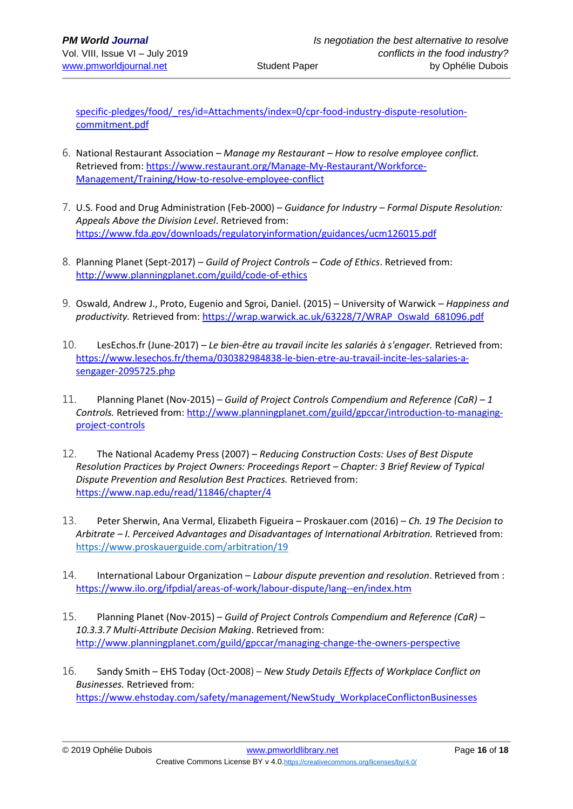[specific-pledges/food/\\_res/id=Attachments/index=0/cpr-food-industry-dispute-resolution](https://www.cpradr.org/resource-center/adr-pledges/industry-specific-pledges/food/_res/id=Attachments/index=0/cpr-food-industry-dispute-resolution-commitment.pdf)[commitment.pdf](https://www.cpradr.org/resource-center/adr-pledges/industry-specific-pledges/food/_res/id=Attachments/index=0/cpr-food-industry-dispute-resolution-commitment.pdf)

- 6. National Restaurant Association *Manage my Restaurant – How to resolve employee conflict.*  Retrieved from: [https://www.restaurant.org/Manage-My-Restaurant/Workforce-](https://www.restaurant.org/Manage-My-Restaurant/Workforce-Management/Training/How-to-resolve-employee-conflict)[Management/Training/How-to-resolve-employee-conflict](https://www.restaurant.org/Manage-My-Restaurant/Workforce-Management/Training/How-to-resolve-employee-conflict)
- 7. U.S. Food and Drug Administration (Feb-2000) *Guidance for Industry – Formal Dispute Resolution: Appeals Above the Division Level*. Retrieved from: <https://www.fda.gov/downloads/regulatoryinformation/guidances/ucm126015.pdf>
- 8. Planning Planet (Sept-2017) *Guild of Project Controls Code of Ethics*. Retrieved from: <http://www.planningplanet.com/guild/code-of-ethics>
- 9. Oswald, Andrew J., Proto, Eugenio and Sgroi, Daniel. (2015) University of Warwick *Happiness and productivity.* Retrieved from: [https://wrap.warwick.ac.uk/63228/7/WRAP\\_Oswald\\_681096.pdf](https://wrap.warwick.ac.uk/63228/7/WRAP_Oswald_681096.pdf)
- 10. LesEchos.fr (June-2017) *Le bien-être au travail incite les salariés à s'engager.* Retrieved from: [https://www.lesechos.fr/thema/030382984838-le-bien-etre-au-travail-incite-les-salaries-a](https://www.lesechos.fr/thema/030382984838-le-bien-etre-au-travail-incite-les-salaries-a-sengager-2095725.php)[sengager-2095725.php](https://www.lesechos.fr/thema/030382984838-le-bien-etre-au-travail-incite-les-salaries-a-sengager-2095725.php)
- 11. Planning Planet (Nov-2015) *Guild of Project Controls Compendium and Reference (CaR) – 1 Controls.* Retrieved from: [http://www.planningplanet.com/guild/gpccar/introduction-to-managing](http://www.planningplanet.com/guild/gpccar/introduction-to-managing-project-controls)[project-controls](http://www.planningplanet.com/guild/gpccar/introduction-to-managing-project-controls)
- 12. The National Academy Press (2007) *Reducing Construction Costs: Uses of Best Dispute Resolution Practices by Project Owners: Proceedings Report – Chapter: 3 Brief Review of Typical Dispute Prevention and Resolution Best Practices.* Retrieved from: <https://www.nap.edu/read/11846/chapter/4>
- 13. Peter Sherwin, Ana Vermal, Elizabeth Figueira Proskauer.com (2016) *Ch. 19 The Decision to Arbitrate – I. Perceived Advantages and Disadvantages of International Arbitration.* Retrieved from: <https://www.proskauerguide.com/arbitration/19>
- 14. International Labour Organization *Labour dispute prevention and resolution*. Retrieved from : <https://www.ilo.org/ifpdial/areas-of-work/labour-dispute/lang--en/index.htm>
- 15. Planning Planet (Nov-2015) *Guild of Project Controls Compendium and Reference (CaR) – 10.3.3.7 Multi-Attribute Decision Making*. Retrieved from: <http://www.planningplanet.com/guild/gpccar/managing-change-the-owners-perspective>
- 16. Sandy Smith EHS Today (Oct-2008) *New Study Details Effects of Workplace Conflict on Businesses.* Retrieved from: [https://www.ehstoday.com/safety/management/NewStudy\\_WorkplaceConflictonBusinesses](https://www.ehstoday.com/safety/management/NewStudy_WorkplaceConflictonBusinesses)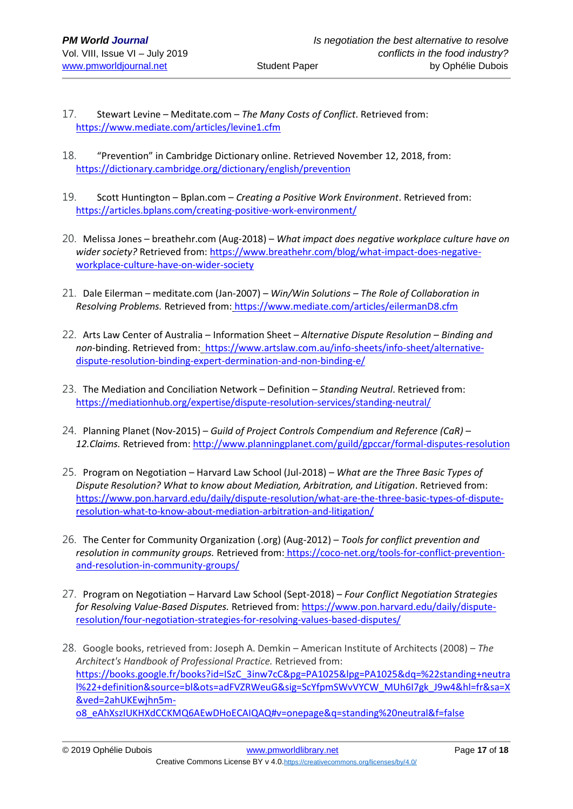- 17. Stewart Levine Meditate.com *The Many Costs of Conflict*. Retrieved from: <https://www.mediate.com/articles/levine1.cfm>
- 18. "Prevention" in Cambridge Dictionary online. Retrieved November 12, 2018, from: <https://dictionary.cambridge.org/dictionary/english/prevention>
- 19. Scott Huntington Bplan.com *Creating a Positive Work Environment*. Retrieved from: <https://articles.bplans.com/creating-positive-work-environment/>
- 20. Melissa Jones breathehr.com (Aug-2018) *What impact does negative workplace culture have on*  wider society? Retrieved from: [https://www.breathehr.com/blog/what-impact-does-negative](https://www.breathehr.com/blog/what-impact-does-negative-workplace-culture-have-on-wider-society)[workplace-culture-have-on-wider-society](https://www.breathehr.com/blog/what-impact-does-negative-workplace-culture-have-on-wider-society)
- 21. Dale Eilerman meditate.com (Jan-2007) *Win/Win Solutions – The Role of Collaboration in Resolving Problems.* Retrieved from: <https://www.mediate.com/articles/eilermanD8.cfm>
- 22. Arts Law Center of Australia Information Sheet *Alternative Dispute Resolution – Binding and non-binding. Retrieved from: [https://www.artslaw.com.au/info-sheets/info-sheet/alternative](https://www.artslaw.com.au/info-sheets/info-sheet/alternative-dispute-resolution-binding-expert-dermination-and-non-binding-e/)*[dispute-resolution-binding-expert-dermination-and-non-binding-e/](https://www.artslaw.com.au/info-sheets/info-sheet/alternative-dispute-resolution-binding-expert-dermination-and-non-binding-e/)
- 23. The Mediation and Conciliation Network Definition *Standing Neutral*. Retrieved from: <https://mediationhub.org/expertise/dispute-resolution-services/standing-neutral/>
- 24. Planning Planet (Nov-2015) *Guild of Project Controls Compendium and Reference (CaR) – 12.Claims.* Retrieved from[: http://www.planningplanet.com/guild/gpccar/formal-disputes-resolution](http://www.planningplanet.com/guild/gpccar/formal-disputes-resolution)
- 25. Program on Negotiation Harvard Law School (Jul-2018) *What are the Three Basic Types of Dispute Resolution? What to know about Mediation, Arbitration, and Litigation*. Retrieved from: [https://www.pon.harvard.edu/daily/dispute-resolution/what-are-the-three-basic-types-of-dispute](https://www.pon.harvard.edu/daily/dispute-resolution/what-are-the-three-basic-types-of-dispute-resolution-what-to-know-about-mediation-arbitration-and-litigation/)[resolution-what-to-know-about-mediation-arbitration-and-litigation/](https://www.pon.harvard.edu/daily/dispute-resolution/what-are-the-three-basic-types-of-dispute-resolution-what-to-know-about-mediation-arbitration-and-litigation/)
- 26. The Center for Community Organization (.org) (Aug-2012) *Tools for conflict prevention and resolution in community groups.* Retrieved from: [https://coco-net.org/tools-for-conflict-prevention](https://coco-net.org/tools-for-conflict-prevention-and-resolution-in-community-groups/)[and-resolution-in-community-groups/](https://coco-net.org/tools-for-conflict-prevention-and-resolution-in-community-groups/)
- 27. Program on Negotiation Harvard Law School (Sept-2018) *Four Conflict Negotiation Strategies for Resolving Value-Based Disputes.* Retrieved from[: https://www.pon.harvard.edu/daily/dispute](https://www.pon.harvard.edu/daily/dispute-resolution/four-negotiation-strategies-for-resolving-values-based-disputes/)[resolution/four-negotiation-strategies-for-resolving-values-based-disputes/](https://www.pon.harvard.edu/daily/dispute-resolution/four-negotiation-strategies-for-resolving-values-based-disputes/)
- 28. Google books, retrieved from: Joseph A. Demkin American Institute of Architects (2008) *The Architect's Handbook of Professional Practice.* Retrieved from: [https://books.google.fr/books?id=ISzC\\_3inw7cC&pg=PA1025&lpg=PA1025&dq=%22standing+neutra](https://books.google.fr/books?id=ISzC_3inw7cC&pg=PA1025&lpg=PA1025&dq=%22standing+neutral%22+definition&source=bl&ots=adFVZRWeuG&sig=ScYfpmSWvVYCW_MUh6I7gk_J9w4&hl=fr&sa=X&ved=2ahUKEwjhn5m-o8_eAhXszIUKHXdCCKMQ6AEwDHoECAIQAQ#v=onepage&q=standing%20neutral&f=false) [l%22+definition&source=bl&ots=adFVZRWeuG&sig=ScYfpmSWvVYCW\\_MUh6I7gk\\_J9w4&hl=fr&sa=X](https://books.google.fr/books?id=ISzC_3inw7cC&pg=PA1025&lpg=PA1025&dq=%22standing+neutral%22+definition&source=bl&ots=adFVZRWeuG&sig=ScYfpmSWvVYCW_MUh6I7gk_J9w4&hl=fr&sa=X&ved=2ahUKEwjhn5m-o8_eAhXszIUKHXdCCKMQ6AEwDHoECAIQAQ#v=onepage&q=standing%20neutral&f=false) [&ved=2ahUKEwjhn5m](https://books.google.fr/books?id=ISzC_3inw7cC&pg=PA1025&lpg=PA1025&dq=%22standing+neutral%22+definition&source=bl&ots=adFVZRWeuG&sig=ScYfpmSWvVYCW_MUh6I7gk_J9w4&hl=fr&sa=X&ved=2ahUKEwjhn5m-o8_eAhXszIUKHXdCCKMQ6AEwDHoECAIQAQ#v=onepage&q=standing%20neutral&f=false)[o8\\_eAhXszIUKHXdCCKMQ6AEwDHoECAIQAQ#v=onepage&q=standing%20neutral&f=false](https://books.google.fr/books?id=ISzC_3inw7cC&pg=PA1025&lpg=PA1025&dq=%22standing+neutral%22+definition&source=bl&ots=adFVZRWeuG&sig=ScYfpmSWvVYCW_MUh6I7gk_J9w4&hl=fr&sa=X&ved=2ahUKEwjhn5m-o8_eAhXszIUKHXdCCKMQ6AEwDHoECAIQAQ#v=onepage&q=standing%20neutral&f=false)